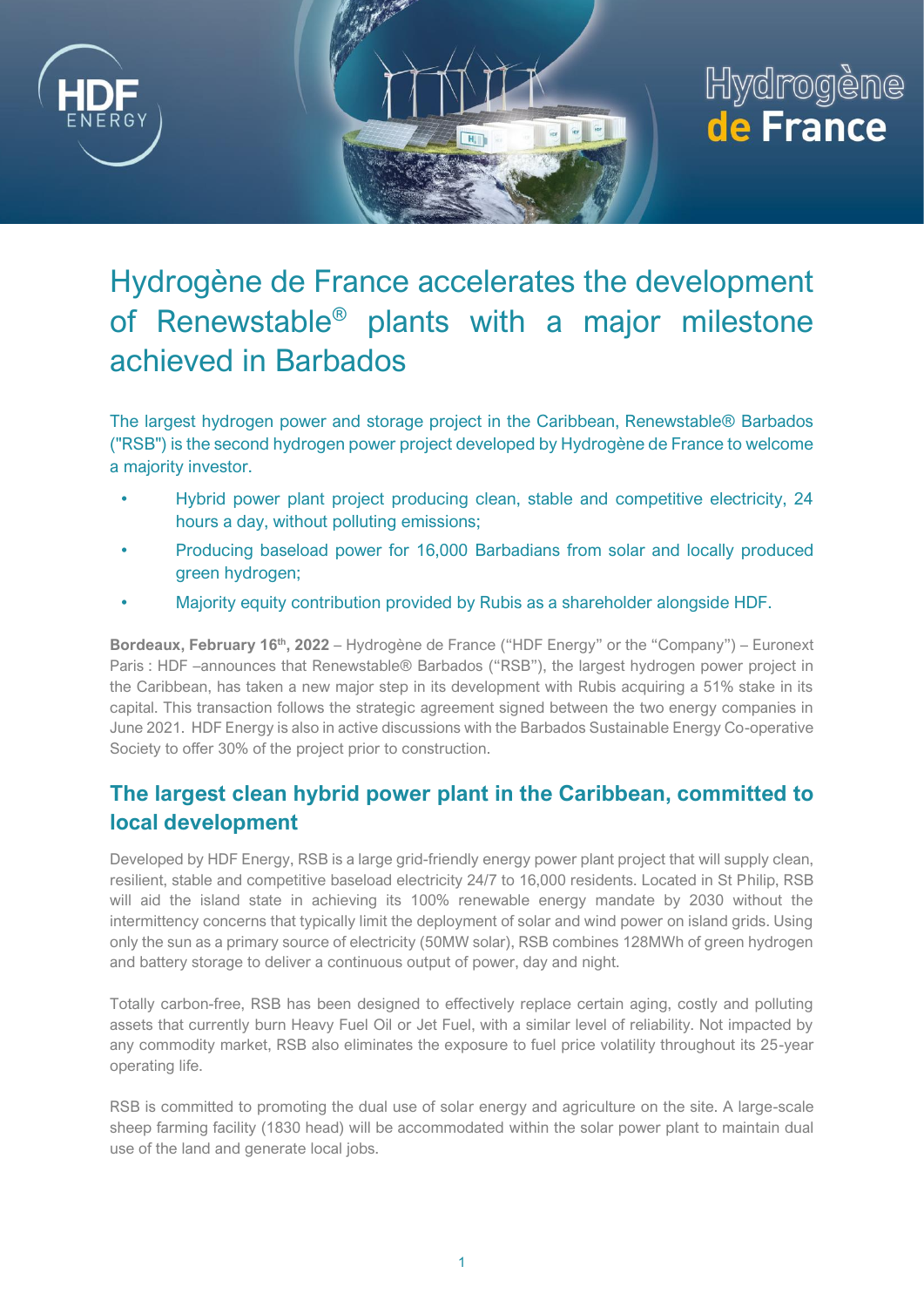

# Hydrogène de France accelerates the development of Renewstable® plants with a major milestone achieved in Barbados

The largest hydrogen power and storage project in the Caribbean, Renewstable® Barbados ("RSB") is the second hydrogen power project developed by Hydrogène de France to welcome a majority investor.

- Hybrid power plant project producing clean, stable and competitive electricity, 24 hours a day, without polluting emissions;
- Producing baseload power for 16,000 Barbadians from solar and locally produced green hydrogen;
- Majority equity contribution provided by Rubis as a shareholder alongside HDF.

**Bordeaux, February 16<sup>th</sup>, 2022** – Hydrogène de France ("HDF Energy" or the "Company") – Euronext Paris : HDF –announces that Renewstable® Barbados ("RSB"), the largest hydrogen power project in the Caribbean, has taken a new major step in its development with Rubis acquiring a 51% stake in its capital. This transaction follows the strategic agreement signed between the two energy companies in June 2021. HDF Energy is also in active discussions with the Barbados Sustainable Energy Co-operative Society to offer 30% of the project prior to construction.

## **The largest clean hybrid power plant in the Caribbean, committed to local development**

Developed by HDF Energy, RSB is a large grid-friendly energy power plant project that will supply clean, resilient, stable and competitive baseload electricity 24/7 to 16,000 residents. Located in St Philip, RSB will aid the island state in achieving its 100% renewable energy mandate by 2030 without the intermittency concerns that typically limit the deployment of solar and wind power on island grids. Using only the sun as a primary source of electricity (50MW solar), RSB combines 128MWh of green hydrogen and battery storage to deliver a continuous output of power, day and night.

Totally carbon-free, RSB has been designed to effectively replace certain aging, costly and polluting assets that currently burn Heavy Fuel Oil or Jet Fuel, with a similar level of reliability. Not impacted by any commodity market, RSB also eliminates the exposure to fuel price volatility throughout its 25-year operating life.

RSB is committed to promoting the dual use of solar energy and agriculture on the site. A large-scale sheep farming facility (1830 head) will be accommodated within the solar power plant to maintain dual use of the land and generate local jobs.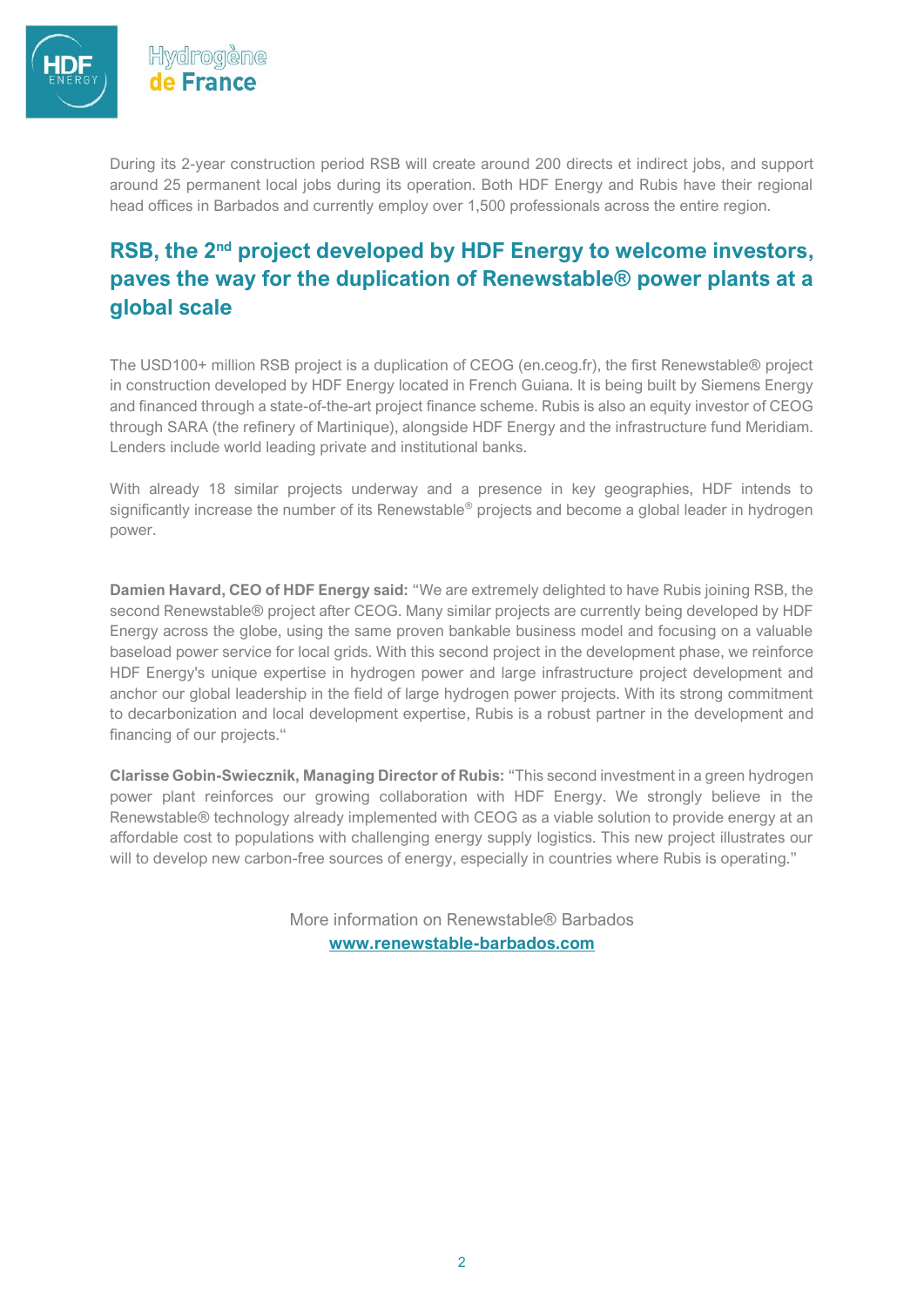

Hydrogène de France

During its 2-year construction period RSB will create around 200 directs et indirect jobs, and support around 25 permanent local jobs during its operation. Both HDF Energy and Rubis have their regional head offices in Barbados and currently employ over 1,500 professionals across the entire region.

# **RSB, the 2nd project developed by HDF Energy to welcome investors, paves the way for the duplication of Renewstable® power plants at a global scale**

The USD100+ million RSB project is a duplication of CEOG (en.ceog.fr), the first Renewstable® project in construction developed by HDF Energy located in French Guiana. It is being built by Siemens Energy and financed through a state-of-the-art project finance scheme. Rubis is also an equity investor of CEOG through SARA (the refinery of Martinique), alongside HDF Energy and the infrastructure fund Meridiam. Lenders include world leading private and institutional banks.

With already 18 similar projects underway and a presence in key geographies, HDF intends to significantly increase the number of its Renewstable<sup>®</sup> projects and become a global leader in hydrogen power.

**Damien Havard, CEO of HDF Energy said:** "We are extremely delighted to have Rubis joining RSB, the second Renewstable® project after CEOG. Many similar projects are currently being developed by HDF Energy across the globe, using the same proven bankable business model and focusing on a valuable baseload power service for local grids. With this second project in the development phase, we reinforce HDF Energy's unique expertise in hydrogen power and large infrastructure project development and anchor our global leadership in the field of large hydrogen power projects. With its strong commitment to decarbonization and local development expertise, Rubis is a robust partner in the development and financing of our projects."

**Clarisse Gobin-Swiecznik, Managing Director of Rubis:** "This second investment in a green hydrogen power plant reinforces our growing collaboration with HDF Energy. We strongly believe in the Renewstable® technology already implemented with CEOG as a viable solution to provide energy at an affordable cost to populations with challenging energy supply logistics. This new project illustrates our will to develop new carbon-free sources of energy, especially in countries where Rubis is operating."

> More information on Renewstable® Barbados **[www.renewstable-barbados.com](https://www.renewstable-barbados.com/)**